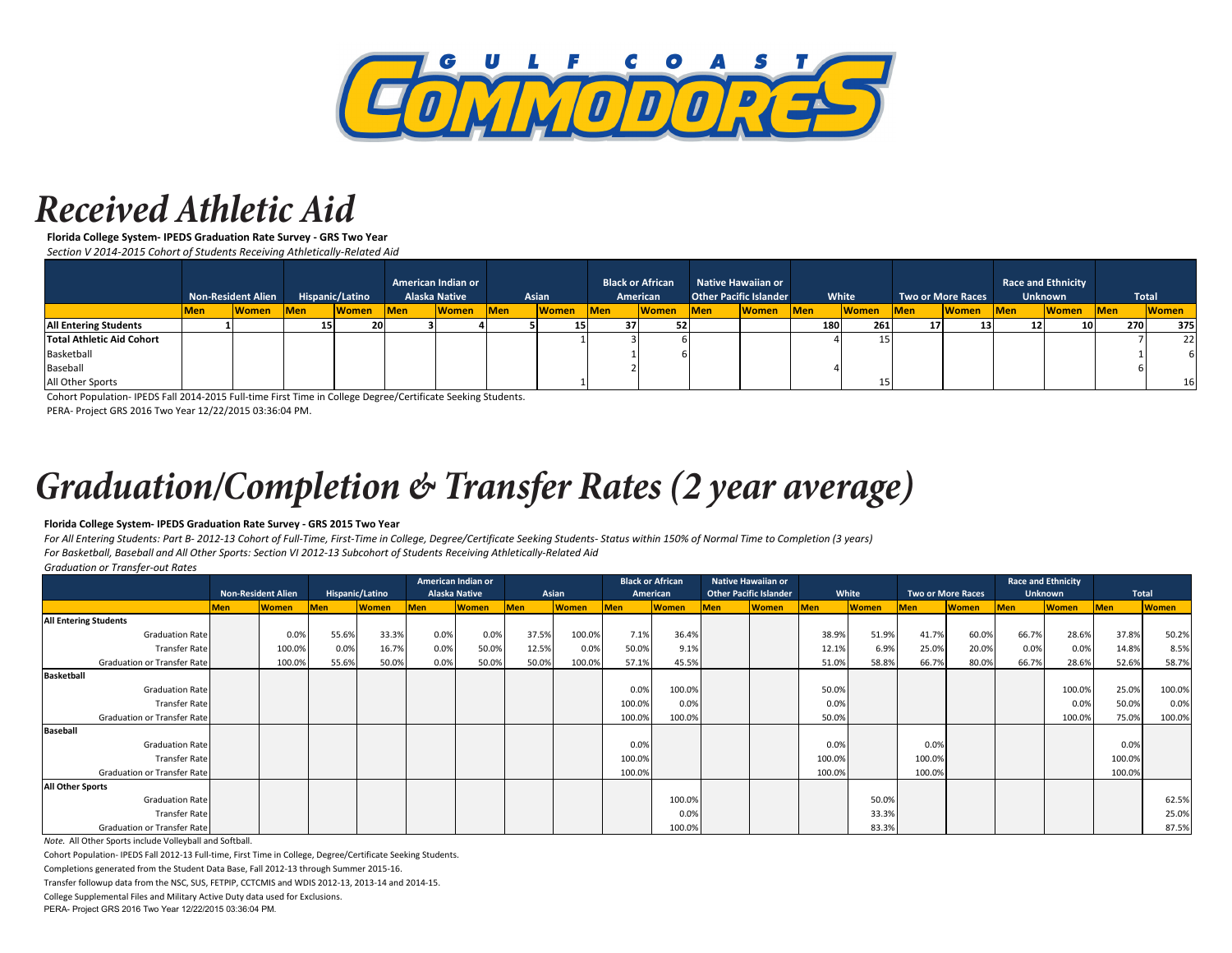

### *Received Athletic Aid*

**Florida College System- IPEDS Graduation Rate Survey - GRS Two Year** *Section V 2014-2015 Cohort of Students Receiving Athletically-Related Aid*

|                              | <b>Non-Resident Alien</b> |              | Hispanic/Latino |              | American Indian or<br><b>Alaska Native</b> |              | Asian            |              | <b>Black or African</b><br>American |              | <b>Native Hawaiian or</b><br><b>Other Pacific Islander</b> |              | White      |              | <b>Two or More Races</b> |              | <b>Race and Ethnicity</b><br><b>Unknown</b> |              | Total      |              |
|------------------------------|---------------------------|--------------|-----------------|--------------|--------------------------------------------|--------------|------------------|--------------|-------------------------------------|--------------|------------------------------------------------------------|--------------|------------|--------------|--------------------------|--------------|---------------------------------------------|--------------|------------|--------------|
|                              | <b>Men</b>                | <b>Women</b> | Men             | <b>Women</b> | <b>Men</b>                                 | <b>Women</b> | Men <sup>1</sup> | <b>Women</b> | <b>Men</b>                          | <b>Women</b> | <b>Men</b>                                                 | <b>Women</b> | <b>Men</b> | <b>Women</b> | <b>Men</b>               | <b>Women</b> | <b>IMen</b>                                 | <b>Women</b> | <b>Men</b> | <b>Women</b> |
| <b>All Entering Students</b> |                           |              | 15              | 20           |                                            |              |                  | -15          | 37                                  |              |                                                            |              | 180        | 261          | 17                       |              | 12                                          | 10           |            | 375<br>270   |
| Total Athletic Aid Cohort    |                           |              |                 |              |                                            |              |                  |              |                                     |              |                                                            |              |            | 15           |                          |              |                                             |              |            | 22           |
| Basketball                   |                           |              |                 |              |                                            |              |                  |              |                                     |              |                                                            |              |            |              |                          |              |                                             |              |            |              |
| Baseball                     |                           |              |                 |              |                                            |              |                  |              |                                     |              |                                                            |              |            |              |                          |              |                                             |              |            |              |
| All Other Sports             |                           |              |                 |              |                                            |              |                  |              |                                     |              |                                                            |              |            |              |                          |              |                                             |              |            | 16           |

Cohort Population- IPEDS Fall 2014-2015 Full-time First Time in College Degree/Certificate Seeking Students.

PERA- Project GRS 2016 Two Year 12/22/2015 03:36:04 PM.

# *Graduation/Completion & Transfer Rates (2 year average)*

#### **Florida College System- IPEDS Graduation Rate Survey - GRS 2015 Two Year**

*For All Entering Students: Part B- 2012-13 Cohort of Full-Time, First-Time in College, Degree/Certificate Seeking Students- Status within 150% of Normal Time to Completion (3 years) For Basketball, Baseball and All Other Sports: Section VI 2012-13 Subcohort of Students Receiving Athletically-Related Aid*

*Graduation or Transfer-out Rates*

|                                    |                           |              |            |                 | American Indian or   |              |            |              | <b>Black or African</b> |              |            | <b>Native Hawaiian or</b>     |        |              |            |                          |            | <b>Race and Ethnicity</b> |            |              |
|------------------------------------|---------------------------|--------------|------------|-----------------|----------------------|--------------|------------|--------------|-------------------------|--------------|------------|-------------------------------|--------|--------------|------------|--------------------------|------------|---------------------------|------------|--------------|
|                                    | <b>Non-Resident Alien</b> |              |            | Hispanic/Latino | <b>Alaska Native</b> |              | Asian      |              |                         | American     |            | <b>Other Pacific Islander</b> | White  |              |            | <b>Two or More Races</b> |            | <b>Unknown</b>            |            | <b>Total</b> |
|                                    | <b>Men</b>                | <b>Women</b> | <b>Men</b> | Women           | <b>Men</b>           | <b>Women</b> | <b>Men</b> | <b>Women</b> | <b>Men</b>              | <b>Women</b> | <b>Men</b> | <b>Women</b>                  | Men    | <b>Women</b> | <b>Men</b> | <b>Women</b>             | <b>Men</b> | <b>Women</b>              | <b>Men</b> | <b>Women</b> |
| <b>All Entering Students</b>       |                           |              |            |                 |                      |              |            |              |                         |              |            |                               |        |              |            |                          |            |                           |            |              |
| <b>Graduation Rate</b>             |                           | 0.0%         | 55.6%      | 33.3%           | 0.0%                 | 0.0%         | 37.5%      | 100.0%       | 7.1%                    | 36.4%        |            |                               | 38.9%  | 51.9%        | 41.7%      | 60.0%                    | 66.7%      | 28.6%                     | 37.8%      | 50.2%        |
| <b>Transfer Rate</b>               |                           | 100.0%       | 0.0%       | 16.7%           | 0.0%                 | 50.0%        | 12.5%      | 0.0%         | 50.0%                   | 9.1%         |            |                               | 12.1%  | 6.9%         | 25.0%      | 20.0%                    | 0.0%       | 0.0%                      | 14.8%      | 8.5%         |
| Graduation or Transfer Rate        |                           | 100.0%       | 55.6%      | 50.0%           | 0.0%                 | 50.0%        | 50.0%      | 100.0%       | 57.1%                   | 45.5%        |            |                               | 51.0%  | 58.8%        | 66.7%      | 80.0%                    | 66.7%      | 28.6%                     | 52.6%      | 58.7%        |
| <b>Basketball</b>                  |                           |              |            |                 |                      |              |            |              |                         |              |            |                               |        |              |            |                          |            |                           |            |              |
| <b>Graduation Rate</b>             |                           |              |            |                 |                      |              |            |              | 0.0%                    | 100.0%       |            |                               | 50.0%  |              |            |                          |            | 100.0%                    | 25.0%      | 100.0%       |
| <b>Transfer Rate</b>               |                           |              |            |                 |                      |              |            |              | 100.0%                  | 0.0%         |            |                               | 0.0%   |              |            |                          |            | 0.0%                      | 50.0%      | 0.0%         |
| Graduation or Transfer Rate        |                           |              |            |                 |                      |              |            |              | 100.0%                  | 100.0%       |            |                               | 50.0%  |              |            |                          |            | 100.0%                    | 75.0%      | 100.0%       |
| <b>Baseball</b>                    |                           |              |            |                 |                      |              |            |              |                         |              |            |                               |        |              |            |                          |            |                           |            |              |
| <b>Graduation Rate</b>             |                           |              |            |                 |                      |              |            |              | 0.0%                    |              |            |                               | 0.0%   |              | 0.0%       |                          |            |                           | 0.0%       |              |
| Transfer Rate                      |                           |              |            |                 |                      |              |            |              | 100.0%                  |              |            |                               | 100.0% |              | 100.0%     |                          |            |                           | 100.0%     |              |
| <b>Graduation or Transfer Rate</b> |                           |              |            |                 |                      |              |            |              | 100.0%                  |              |            |                               | 100.0% |              | 100.0%     |                          |            |                           | 100.0%     |              |
| <b>All Other Sports</b>            |                           |              |            |                 |                      |              |            |              |                         |              |            |                               |        |              |            |                          |            |                           |            |              |
| <b>Graduation Rate</b>             |                           |              |            |                 |                      |              |            |              |                         | 100.0%       |            |                               |        | 50.0%        |            |                          |            |                           |            | 62.5%        |
| Transfer Rate                      |                           |              |            |                 |                      |              |            |              |                         | 0.0%         |            |                               |        | 33.3%        |            |                          |            |                           |            | 25.0%        |
| Graduation or Transfer Rate        |                           |              |            |                 |                      |              |            |              |                         | 100.0%       |            |                               |        | 83.3%        |            |                          |            |                           |            | 87.5%        |

*Note.* All Other Sports include Volleyball and Softball.

Cohort Population- IPEDS Fall 2012-13 Full-time, First Time in College, Degree/Certificate Seeking Students.

Completions generated from the Student Data Base, Fall 2012-13 through Summer 2015-16.

Transfer followup data from the NSC, SUS, FETPIP, CCTCMIS and WDIS 2012-13, 2013-14 and 2014-15.

College Supplemental Files and Military Active Duty data used for Exclusions.

PERA- Project GRS 2016 Two Year 12/22/2015 03:36:04 PM.